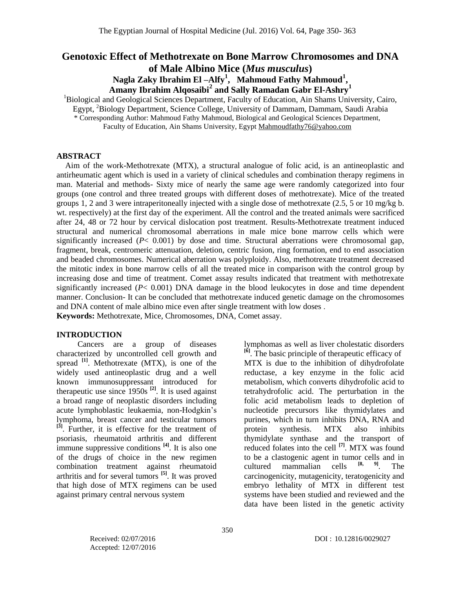# **Genotoxic Effect of Methotrexate on Bone Marrow Chromosomes and DNA of Male Albino Mice (***Mus musculus***)**

**Nagla Zaky Ibrahim El –Alfy<sup>1</sup> , Mahmoud Fathy Mahmoud<sup>1</sup> , Amany Ibrahim Alqosaibi<sup>2</sup> and Sally Ramadan Gabr El-Ashry<sup>1</sup>**

<sup>1</sup>Biological and Geological Sciences Department, Faculty of Education, Ain Shams University, Cairo,

Egypt, <sup>2</sup>Biology Department, Science College, University of Dammam, Dammam, Saudi Arabia

\* Corresponding Author: Mahmoud Fathy Mahmoud, Biological and Geological Sciences Department,

Faculty of Education, Ain Shams University, Egypt [Mahmoudfathy76@yahoo.com](mailto:Mahmoudfathy76@yahoo.com)

### **ABSTRACT**

Aim of the work-Methotrexate (MTX), a structural analogue of folic acid, is an antineoplastic and antirheumatic agent which is used in a variety of clinical schedules and combination therapy regimens in man. Material and methods- Sixty mice of nearly the same age were randomly categorized into four groups (one control and three treated groups with different doses of methotrexate). Mice of the treated groups 1, 2 and 3 were intraperitoneally injected with a single dose of methotrexate (2.5, 5 or 10 mg/kg b. wt. respectively) at the first day of the experiment. All the control and the treated animals were sacrificed after 24, 48 or 72 hour by cervical dislocation post treatment. Results-Methotrexate treatment induced structural and numerical chromosomal aberrations in male mice bone marrow cells which were significantly increased  $(P< 0.001)$  by dose and time. Structural aberrations were chromosomal gap, fragment, break, centromeric attenuation, deletion, centric fusion, ring formation, end to end association and beaded chromosomes. Numerical aberration was polyploidy. Also, methotrexate treatment decreased the mitotic index in bone marrow cells of all the treated mice in comparison with the control group by increasing dose and time of treatment. Comet assay results indicated that treatment with methotrexate significantly increased (*P*< 0.001) DNA damage in the blood leukocytes in dose and time dependent manner. Conclusion- It can be concluded that methotrexate induced genetic damage on the chromosomes and DNA content of male albino mice even after single treatment with low doses . **Keywords:** Methotrexate, Mice, Chromosomes, DNA, Comet assay.

## **INTRODUCTION**

Cancers are a group of diseases characterized by uncontrolled cell growth and spread **[1]** . Methotrexate (MTX), is one of the widely used antineoplastic drug and a well known immunosuppressant introduced for therapeutic use since  $1950s$ <sup>[2]</sup>. It is used against a broad range of neoplastic disorders including acute lymphoblastic leukaemia, non-Hodgkin's lymphoma, breast cancer and testicular tumors **[3]** . Further, it is effective for the treatment of psoriasis, rheumatoid arthritis and different immune suppressive conditions <sup>[4]</sup>. It is also one of the drugs of choice in the new regimen combination treatment against rheumatoid arthritis and for several tumors **[5]** . It was proved that high dose of MTX regimens can be used against primary central nervous system

lymphomas as well as liver cholestatic disorders **[6]** . The basic principle of therapeutic efficacy of MTX is due to the inhibition of dihydrofolate reductase, a key enzyme in the folic acid metabolism, which converts dihydrofolic acid to tetrahydrofolic acid. The perturbation in the folic acid metabolism leads to depletion of nucleotide precursors like thymidylates and purines, which in turn inhibits DNA, RNA and protein synthesis. MTX also inhibits thymidylate synthase and the transport of reduced folates into the cell **[7]** . MTX was found to be a clastogenic agent in tumor cells and in cultured mammalian cells  $[8, 9]$ . The cultured mammalian cells . The carcinogenicity, mutagenicity, teratogenicity and embryo lethality of MTX in different test systems have been studied and reviewed and the data have been listed in the genetic activity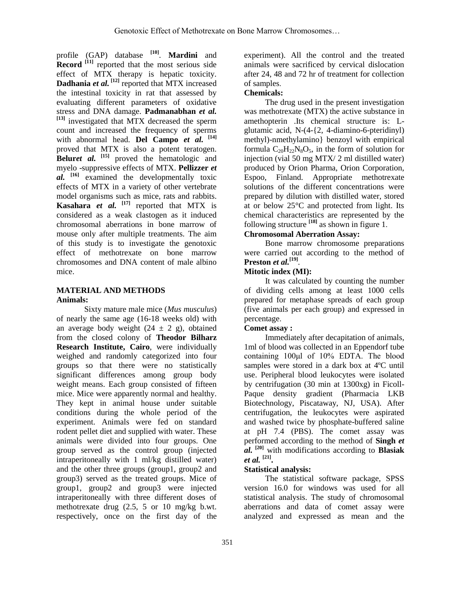profile (GAP) database **[10]** . **Mardini** and **Record** <sup>[11]</sup> reported that the most serious side effect of MTX therapy is hepatic toxicity. **Dadhania** *et al.* **[12]** reported that MTX increased the intestinal toxicity in rat that assessed by evaluating different parameters of oxidative stress and DNA damage. **Padmanabhan** *et al.* **[13]** investigated that MTX decreased the sperm count and increased the frequency of sperms with abnormal head. **Del Campo** *et al.* **[14]** proved that MTX is also a potent teratogen. **Beluret al.** <sup>[15]</sup> proved the hematologic and myelo -suppressive effects of MTX. **Pellizzer** *et al.* **[16]** examined the developmentally toxic effects of MTX in a variety of other vertebrate model organisms such as mice, rats and rabbits. **Kasahara** *et al.* <sup>[17]</sup> reported that MTX is considered as a weak clastogen as it induced chromosomal aberrations in bone marrow of mouse only after multiple treatments. The aim of this study is to investigate the genotoxic effect of methotrexate on bone marrow chromosomes and DNA content of male albino mice.

## **MATERIAL AND METHODS Animals:**

Sixty mature male mice (*Mus musculus*) of nearly the same age (16-18 weeks old) with an average body weight  $(24 \pm 2 \text{ g})$ , obtained from the closed colony of **Theodor Bilharz Research Institute, Cairo**, were individually weighed and randomly categorized into four groups so that there were no statistically significant differences among group body weight means. Each group consisted of fifteen mice. Mice were apparently normal and healthy. They kept in animal house under suitable conditions during the whole period of the experiment. Animals were fed on standard rodent pellet diet and supplied with water. These animals were divided into four groups. One group served as the control group (injected intraperitoneally with 1 ml/kg distilled water) and the other three groups (group1, group2 and group3) served as the treated groups. Mice of group1, group2 and group3 were injected intraperitoneally with three different doses of methotrexate drug (2.5, 5 or 10 mg/kg b.wt. respectively, once on the first day of the experiment). All the control and the treated animals were sacrificed by cervical dislocation after 24, 48 and 72 hr of treatment for collection of samples.

## **Chemicals:**

The drug used in the present investigation was methotrexate (MTX) the active substance in amethopterin .Its chemical structure is: Lglutamic acid, N-(4-{2, 4-diamino-6-pteridinyl) methyl)-nmethylamino} benzoyl with empirical formula  $C_{20}H_{22}N_8O_5$ , in the form of solution for injection (vial 50 mg MTX/ 2 ml distilled water) produced by Orion Pharma, Orion Corporation, Espoo, Finland. Appropriate methotrexate solutions of the different concentrations were prepared by dilution with distilled water, stored at or below 25°C and protected from light. Its chemical characteristics are represented by the following structure **[18]** as shown in figure 1.

## **Chromosomal Aberration Assay:**

Bone marrow chromosome preparations were carried out according to the method of **Preston** *et al.***[19]** .

## **Mitotic index (MI):**

It was calculated by counting the number of dividing cells among at least 1000 cells prepared for metaphase spreads of each group (five animals per each group) and expressed in percentage.

## **Comet assay :**

Immediately after decapitation of animals, 1ml of blood was collected in an Eppendorf tube containing 100μl of 10% EDTA. The blood samples were stored in a dark box at 4ºC until use. Peripheral blood leukocytes were isolated by centrifugation (30 min at 1300xg) in Ficoll-Paque density gradient (Pharmacia LKB Biotechnology, Piscataway, NJ, USA). After centrifugation, the leukocytes were aspirated and washed twice by phosphate-buffered saline at pH 7.4 (PBS). The comet assay was performed according to the method of **Singh** *et al.* **[20]** with modifications according to **Blasiak**  *et al.* **[21] .**

## **Statistical analysis:**

The statistical software package, SPSS version 16.0 for windows was used for all statistical analysis. The study of chromosomal aberrations and data of comet assay were analyzed and expressed as mean and the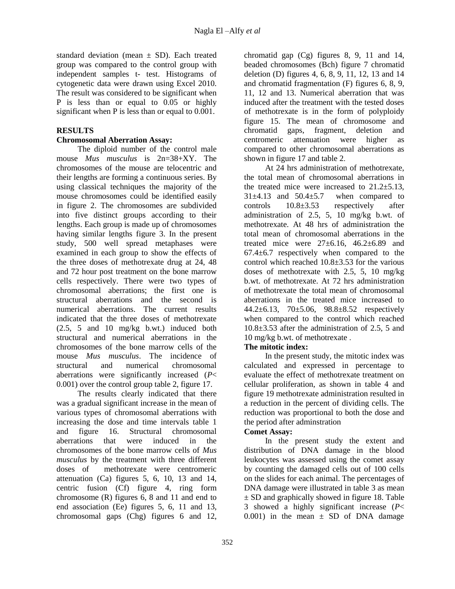standard deviation (mean  $\pm$  SD). Each treated group was compared to the control group with independent samples t- test. Histograms of cytogenetic data were drawn using Excel 2010. The result was considered to be significant when P is less than or equal to 0.05 or highly significant when P is less than or equal to 0.001.

## **RESULTS**

## **Chromosomal Aberration Assay:**

The diploid number of the control male mouse *Mus musculus* is 2n=38+XY. The chromosomes of the mouse are telocentric and their lengths are forming a continuous series. By using classical techniques the majority of the mouse chromosomes could be identified easily in figure 2. The chromosomes are subdivided into five distinct groups according to their lengths. Each group is made up of chromosomes having similar lengths figure 3. In the present study, 500 well spread metaphases were examined in each group to show the effects of the three doses of methotrexate drug at 24, 48 and 72 hour post treatment on the bone marrow cells respectively. There were two types of chromosomal aberrations; the first one is structural aberrations and the second is numerical aberrations. The current results indicated that the three doses of methotrexate (2.5, 5 and 10 mg/kg b.wt.) induced both structural and numerical aberrations in the chromosomes of the bone marrow cells of the mouse *Mus musculus*. The incidence of structural and numerical chromosomal aberrations were significantly increased (*P*< 0.001) over the control group table 2, figure 17.

The results clearly indicated that there was a gradual significant increase in the mean of various types of chromosomal aberrations with increasing the dose and time intervals table 1 and figure 16. Structural chromosomal aberrations that were induced in the chromosomes of the bone marrow cells of *Mus musculus* by the treatment with three different doses of methotrexate were centromeric attenuation (Ca) figures 5, 6, 10, 13 and 14, centric fusion (Cf) figure 4, ring form chromosome (R) figures 6, 8 and 11 and end to end association (Ee) figures 5, 6, 11 and 13, chromosomal gaps (Chg) figures 6 and 12,

chromatid gap (Cg) figures 8, 9, 11 and 14, beaded chromosomes (Bch) figure 7 chromatid deletion (D) figures 4, 6, 8, 9, 11, 12, 13 and 14 and chromatid fragmentation (F) figures 6, 8, 9, 11, 12 and 13. Numerical aberration that was induced after the treatment with the tested doses of methotrexate is in the form of polyploidy figure 15. The mean of chromosome and chromatid gaps, fragment, deletion and centromeric attenuation were higher as compared to other chromosomal aberrations as shown in figure 17 and table 2.

At 24 hrs administration of methotrexate, the total mean of chromosomal aberrations in the treated mice were increased to  $21.2 \pm 5.13$ ,  $31\pm4.13$  and  $50.4\pm5.7$  when compared to controls  $10.8\pm3.53$  respectively after administration of 2.5, 5, 10 mg/kg b.wt. of methotrexate. At 48 hrs of administration the total mean of chromosomal aberrations in the treated mice were  $27\pm6.16$ ,  $46.2\pm6.89$  and 67.4±6.7 respectively when compared to the control which reached 10.8±3.53 for the various doses of methotrexate with 2.5, 5, 10 mg/kg b.wt. of methotrexate. At 72 hrs administration of methotrexate the total mean of chromosomal aberrations in the treated mice increased to 44.2 $\pm$ 6.13, 70 $\pm$ 5.06, 98.8 $\pm$ 8.52 respectively when compared to the control which reached 10.8±3.53 after the administration of 2.5, 5 and 10 mg/kg b.wt. of methotrexate .

## **The mitotic index:**

In the present study, the mitotic index was calculated and expressed in percentage to evaluate the effect of methotrexate treatment on cellular proliferation, as shown in table 4 and figure 19 methotrexate administration resulted in a reduction in the percent of dividing cells. The reduction was proportional to both the dose and the period after adminstration

## **Comet Assay:**

In the present study the extent and distribution of DNA damage in the blood leukocytes was assessed using the comet assay by counting the damaged cells out of 100 cells on the slides for each animal. The percentages of DNA damage were illustrated in table 3 as mean  $\pm$  SD and graphically showed in figure 18. Table 3 showed a highly significant increase (*P*< 0.001) in the mean  $\pm$  SD of DNA damage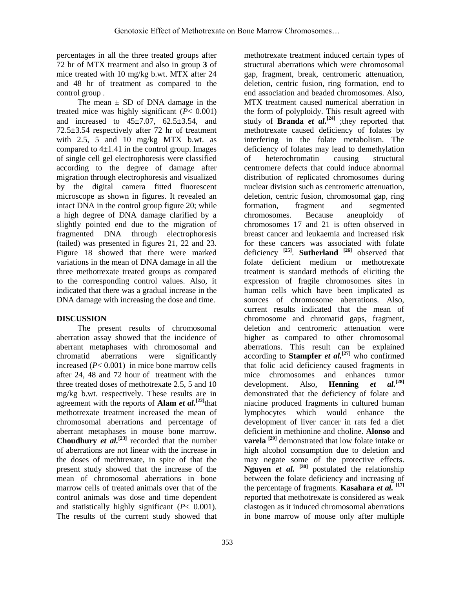percentages in all the three treated groups after 72 hr of MTX treatment and also in group **3** of mice treated with 10 mg/kg b.wt. MTX after 24 and 48 hr of treatment as compared to the control group .

The mean  $\pm$  SD of DNA damage in the treated mice was highly significant (*P*< 0.001) and increased to  $45 \pm 7.07$ ,  $62.5 \pm 3.54$ , and 72.5±3.54 respectively after 72 hr of treatment with 2.5, 5 and 10 mg/kg MTX b.wt. as compared to  $4\pm1.41$  in the control group. Images of single cell gel electrophoresis were classified according to the degree of damage after migration through electrophoresis and visualized by the digital camera fitted fluorescent microscope as shown in figures. It revealed an intact DNA in the control group figure 20; while a high degree of DNA damage clarified by a slightly pointed end due to the migration of fragmented DNA through electrophoresis (tailed) was presented in figures 21, 22 and 23. Figure 18 showed that there were marked variations in the mean of DNA damage in all the three methotrexate treated groups as compared to the corresponding control values. Also, it indicated that there was a gradual increase in the DNA damage with increasing the dose and time.

## **DISCUSSION**

The present results of chromosomal aberration assay showed that the incidence of aberrant metaphases with chromosomal and chromatid aberrations were significantly increased  $(P< 0.001)$  in mice bone marrow cells after 24, 48 and 72 hour of treatment with the three treated doses of methotrexate 2.5, 5 and 10 mg/kg b.wt. respectively. These results are in agreement with the reports of **Alam** *et al.***[22]** that methotrexate treatment increased the mean of chromosomal aberrations and percentage of aberrant metaphases in mouse bone marrow. **Choudhury** *et al.*<sup>[23]</sup> recorded that the number of aberrations are not linear with the increase in the doses of methtrexate, in spite of that the present study showed that the increase of the mean of chromosomal aberrations in bone marrow cells of treated animals over that of the control animals was dose and time dependent and statistically highly significant (*P*< 0.001). The results of the current study showed that methotrexate treatment induced certain types of structural aberrations which were chromosomal gap, fragment, break, centromeric attenuation, deletion, centric fusion, ring formation, end to end association and beaded chromosomes. Also, MTX treatment caused numerical aberration in the form of polyploidy. This result agreed with study of **Branda** *et al.*<sup>[24]</sup> ;they reported that methotrexate caused deficiency of folates by interfering in the folate metabolism. The deficiency of folates may lead to demethylation of heterochromatin causing structural centromere defects that could induce abnormal distribution of replicated chromosomes during nuclear division such as centromeric attenuation, deletion, centric fusion, chromosomal gap, ring formation, fragment and segmented chromosomes. Because aneuploidy of chromosomes 17 and 21 is often observed in breast cancer and leukaemia and increased risk for these cancers was associated with folate deficiency **[25]** . **Sutherland [26]** observed that folate deficient medium or methotrexate treatment is standard methods of eliciting the expression of fragile chromosomes sites in human cells which have been implicated as sources of chromosome aberrations. Also, current results indicated that the mean of chromosome and chromatid gaps, fragment, deletion and centromeric attenuation were higher as compared to other chromosomal aberrations. This result can be explained according to **Stampfer** *et al.*<sup>[27]</sup> who confirmed that folic acid deficiency caused fragments in mice chromosomes and enhances tumor development. Also, **Henning** *et al.***[28]** demonstrated that the deficiency of folate and niacine produced fragments in cultured human lymphocytes which would enhance the development of liver cancer in rats fed a diet deficient in methionine and choline. **Alonso** and **varela [29]** demonstrated that low folate intake or high alcohol consumption due to deletion and may negate some of the protective effects. **Nguyen** *et al.* **[30]** postulated the relationship between the folate deficiency and increasing of the percentage of fragments. **Kasahara** *et al.* **[17]** reported that methotrexate is considered as weak clastogen as it induced chromosomal aberrations in bone marrow of mouse only after multiple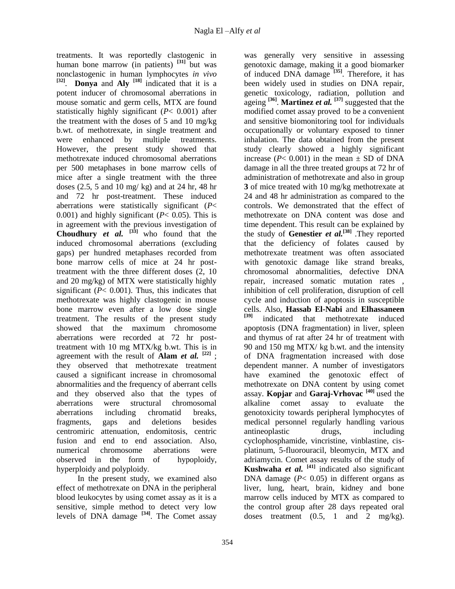treatments. It was reportedly clastogenic in human bone marrow (in patients) **[31]** but was nonclastogenic in human lymphocytes *in vivo* **[32]** . **Donya** and **Aly [18]** indicated that it is a potent inducer of chromosomal aberrations in mouse somatic and germ cells, MTX are found statistically highly significant (*P*< 0.001) after the treatment with the doses of 5 and 10 mg/kg b.wt. of methotrexate, in single treatment and were enhanced by multiple treatments. However, the present study showed that methotrexate induced chromosomal aberrations per 500 metaphases in bone marrow cells of mice after a single treatment with the three doses (2.5, 5 and 10 mg/ kg) and at 24 hr, 48 hr and 72 hr post-treatment. These induced aberrations were statistically significant (*P*< 0.001) and highly significant  $(P< 0.05)$ . This is in agreement with the previous investigation of **Choudhury** *et al.*  $[33]$  who found that the induced chromosomal aberrations (excluding gaps) per hundred metaphases recorded from bone marrow cells of mice at 24 hr posttreatment with the three different doses (2, 10 and 20 mg/kg) of MTX were statistically highly significant  $(P< 0.001)$ . Thus, this indicates that methotrexate was highly clastogenic in mouse bone marrow even after a low dose single treatment. The results of the present study showed that the maximum chromosome aberrations were recorded at 72 hr posttreatment with 10 mg MTX/kg b.wt. This is in agreement with the result of **Alam** *et al.*  $[22]$ ; they observed that methotrexate treatment caused a significant increase in chromosomal abnormalities and the frequency of aberrant cells and they observed also that the types of aberrations were structural chromosomal aberrations including chromatid breaks, fragments, gaps and deletions besides centromiric attenuation, endomitosis, centric fusion and end to end association. Also, numerical chromosome aberrations were observed in the form of hypoploidy, hyperploidy and polyploidy.

In the present study, we examined also effect of methotrexate on DNA in the peripheral blood leukocytes by using comet assay as it is a sensitive, simple method to detect very low levels of DNA damage **[34]** . The Comet assay was generally very sensitive in assessing genotoxic damage, making it a good biomarker of induced DNA damage **[35]**. Therefore, it has been widely used in studies on DNA repair, genetic toxicology, radiation, pollution and ageing **[36]** . **Martinez** *et al.* **[37]** suggested that the modified comet assay proved to be a convenient and sensitive biomonitoring tool for individuals occupationally or voluntary exposed to tinner inhalation. The data obtained from the present study clearly showed a highly significant increase ( $P < 0.001$ ) in the mean  $\pm$  SD of DNA damage in all the three treated groups at 72 hr of administration of methotrexate and also in group **3** of mice treated with 10 mg/kg methotrexate at 24 and 48 hr administration as compared to the controls. We demonstrated that the effect of methotrexate on DNA content was dose and time dependent. This result can be explained by the study of **Genestier** *et al.***[38]** .They reported that the deficiency of folates caused by methotrexate treatment was often associated with genotoxic damage like strand breaks, chromosomal abnormalities, defective DNA repair, increased somatic mutation rates , inhibition of cell proliferation, disruption of cell cycle and induction of apoptosis in susceptible cells. Also, **Hassab El-Nabi** and **Elhassaneen [39]** indicated that methotrexate induced apoptosis (DNA fragmentation) in liver, spleen and thymus of rat after 24 hr of treatment with 90 and 150 mg MTX/ kg b.wt. and the intensity of DNA fragmentation increased with dose dependent manner. A number of investigators have examined the genotoxic effect of methotrexate on DNA content by using comet assay. **Kopjar** and **Garaj-Vrhovac [40]** used the alkaline comet assay to evaluate the genotoxicity towards peripheral lymphocytes of medical personnel regularly handling various antineoplastic drugs, including cyclophosphamide, vincristine, vinblastine, cisplatinum, 5-fluorouracil, bleomycin, MTX and adriamycin. Comet assay results of the study of **Kushwaha** *et al.* **[41]** indicated also significant DNA damage  $(P< 0.05)$  in different organs as liver, lung, heart, brain, kidney and bone marrow cells induced by MTX as compared to the control group after 28 days repeated oral doses treatment (0.5, 1 and 2 mg/kg).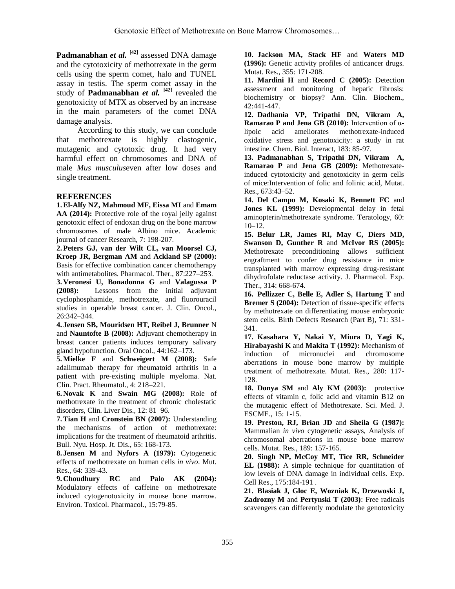**Padmanabhan** *et al.* **[42]** assessed DNA damage and the cytotoxicity of methotrexate in the germ cells using the sperm comet, halo and TUNEL assay in testis. The sperm comet assay in the study of **Padmanabhan** *et al.* **[42]** revealed the genotoxicity of MTX as observed by an increase in the main parameters of the comet DNA damage analysis.

According to this study, we can conclude that methotrexate is highly clastogenic, mutagenic and cytotoxic drug. It had very harmful effect on chromosomes and DNA of male *Mus musculus*even after low doses and single treatment.

## **REFERENCES**

**1.El-Alfy NZ, Mahmoud MF, Eissa MI** and **Emam**  AA (2014): Protective role of the royal jelly against genotoxic effect of endoxan drug on the bone marrow chromosomes of male Albino mice. Academic journal of cancer Research, 7: 198-207.

**2.Peters GJ, van der Wilt CL, van Moorsel CJ, Kroep JR, Bergman AM** and **Ackland SP (2000):** Basis for effective combination cancer chemotherapy with antimetabolites. Pharmacol. Ther., 87:227–253.

**3. Veronesi U, Bonadonna G** and **Valagussa P (2008):** Lessons from the initial adjuvant cyclophosphamide, methotrexate, and fluorouracil studies in operable breast cancer. J. Clin. Oncol., 26:342–344.

**4. Jensen SB, Mouridsen HT, Reibel J, Brunner** N and **Nauntofte B (2008):** Adjuvant chemotherapy in breast cancer patients induces temporary salivary gland hypofunction. Oral Oncol., 44:162–173.

**5.Mielke F** and **Schweigert M (2008):** Safe adalimumab therapy for rheumatoid arthritis in a patient with pre-existing multiple myeloma. Nat. Clin. Pract. Rheumatol., 4: 218–221.

**6. Novak K** and **Swain MG (2008):** Role of methotrexate in the treatment of chronic cholestatic disorders, Clin. Liver Dis., 12: 81–96.

**7.Tian H** and **Cronstein BN (2007):** Understanding the mechanisms of action of methotrexate: implications for the treatment of rheumatoid arthritis. Bull. Nyu. Hosp. Jt. Dis., 65: 168-173.

**8. Jensen M** and **Nyfors A (1979):** Cytogenetic effects of methotrexate on human cells *in vivo*. Mut. Res., 64: 339-43.

**9. Choudhury RC** and **Palo AK (2004):** Modulatory effects of caffeine on methotrexate induced cytogenotoxicity in mouse bone marrow. Environ. Toxicol. Pharmacol., 15:79-85.

**10. Jackson MA, Stack HF** and **Waters MD (1996):** Genetic activity profiles of anticancer drugs. Mutat. Res., 355: 171-208.

**11. Mardini H** and **Record C (2005):** Detection assessment and monitoring of hepatic fibrosis: biochemistry or biopsy? Ann. Clin. Biochem., 42:441-447.

**12. Dadhania VP, Tripathi DN, Vikram A, Ramarao P and Jena GB (2010):** Intervention of αlipoic acid ameliorates methotrexate-induced oxidative stress and genotoxicity: a study in rat intestine. Chem. Biol. Interact, 183: 85-97.

**13. Padmanabhan S, Tripathi DN, Vikram A, Ramarao P** and **Jena GB (2009):** Methotrexateinduced cytotoxicity and genotoxicity in germ cells of mice:Intervention of folic and folinic acid, Mutat. Res., 673:43–52.

**14. Del Campo M, Kosaki K, Bennett FC** and **Jones KL (1999):** Developmental delay in fetal aminopterin/methotrexate syndrome. Teratology, 60: 10–12.

**15. Belur LR, James RI, May C, Diers MD, Swanson D, Gunther R** and **McIvor RS (2005):**  Methotrexate preconditioning allows sufficient engraftment to confer drug resistance in mice transplanted with marrow expressing drug-resistant dihydrofolate reductase activity. J. Pharmacol. Exp. Ther., 314: 668-674.

**16. Pellizzer C, Belle E, Adler S, Hartung T** and **Bremer S (2004):** Detection of tissue-specific effects by methotrexate on differentiating mouse embryonic stem cells. Birth Defects Research (Part B), 71: 331- 341.

**17. Kasahara Y, Nakai Y, Miura D, Yagi K, Hirabayashi K** and **Makita T (1992):** Mechanism of induction of micronuclei and chromosome aberrations in mouse bone marrow by multiple treatment of methotrexate. Mutat. Res., 280: 117- 128.

**18. Donya SM** and **Aly KM (2003):** protective effects of vitamin c, folic acid and vitamin B12 on the mutagenic effect of Methotrexate. Sci. Med. J. ESCME., 15: 1-15.

**19. Preston, RJ, Brian JD** and **Sheila G (1987):** Mammalian *in vivo* cytogenetic assays, Analysis of chromosomal aberrations in mouse bone marrow cells. Mutat. Res., 189: 157-165.

**20. Singh NP, McCoy MT, Tice RR, Schneider EL (1988):** A simple technique for quantitation of low levels of DNA damage in individual cells. Exp. Cell Res., 175:184-191 .

**21. Blasiak J, Gloc E, Wozniak K, Drzewoski J, Zadrozny M** and **Pertynski T (2003)**: Free radicals scavengers can differently modulate the genotoxicity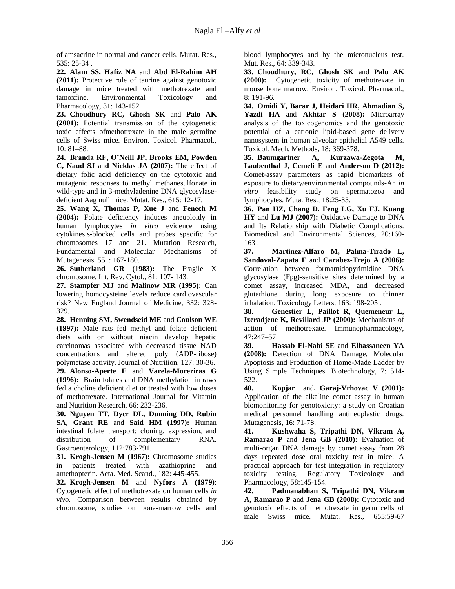of amsacrine in normal and cancer cells. Mutat. Res., 535: 25-34 .

**22. Alam SS, Hafiz NA** and **Abd El-Rahim AH (2011):** Protective role of taurine against genotoxic damage in mice treated with methotrexate and tamoxfine. Environmental Toxicology and Pharmacology, 31: 143-152.

**23. Choudhury RC, Ghosh SK** and **Palo AK (2001):** Potential transmission of the cytogenetic toxic effects ofmethotrexate in the male germline cells of Swiss mice. Environ. Toxicol. Pharmacol., 10: 81–88.

**24. Branda RF, O'Neill JP, Brooks EM, Powden C, Naud SJ** an**d Nicklas JA (2007):** The effect of dietary folic acid deficiency on the cytotoxic and mutagenic responses to methyl methanesulfonate in wild-type and in 3-methyladenine DNA glycosylasedeficient Aag null mice. Mutat. Res., 615: 12-17.

**25. Wang X, Thomas P, Xue J** and **Fenech M (2004):** Folate deficiency induces aneuploidy in human lymphocytes *in vitro* evidence using cytokinesis-blocked cells and probes specific for chromosomes 17 and 21. Mutation Research, Fundamental and Molecular Mechanisms of Mutagenesis, 551: 167-180.

**26. Sutherland GR (1983):** The Fragile X chromosome. Int. Rev. Cytol., 81: 107- 143.

**27. Stampfer MJ** and **Malinow MR (1995):** Can lowering homocysteine levels reduce cardiovascular risk? New England Journal of Medicine, 332: 328- 329.

**28. Henning SM, Swendseid ME** and **Coulson WE (1997):** Male rats fed methyl and folate deficient diets with or without niacin develop hepatic carcinomas associated with decreased tissue NAD concentrations and altered poly (ADP-ribose) polymetase activity. Journal of Nutrition, 127: 30-36. **29. Alonso-Aperte E** and **Varela-Moreriras G (1996):** Brain folates and DNA methylation in raws fed a choline deficient diet or treated with low doses

of methotrexate. International Journal for Vitamin and Nutrition Research, 66: 232-236.

**30. Nguyen TT, Dycr DL, Dunning DD, Rubin SA, Grant RE** and **Said HM (1997):** Human intestinal folate transport: cloning, expression, and distribution of complementary RNA. Gastroenterology, 112:783-791.

**31. Krogh-Jensen M (1967):** Chromosome studies in patients treated with azathioprine and amethopterin. Acta. Med. Scand., 182: 445-455.

**32. Krogh-Jensen M** and **Nyfors A (1979)**: Cytogenetic effect of methotrexate on human cells *in vivo*. Comparison between results obtained by chromosome, studies on bone-marrow cells and

blood lymphocytes and by the micronucleus test. Mut. Res., 64: 339-343.

**33. Choudhury, RC, Ghosh SK** and **Palo AK (2000):** Cytogenetic toxicity of methotrexate in mouse bone marrow. Environ. Toxicol. Pharmacol., 8: 191-96.

**34. Omidi Y, Barar J, Heidari HR, Ahmadian S, Yazdi HA** and **Akhtar S (2008):** Microarray analysis of the toxicogenomics and the genotoxic potential of a cationic lipid-based gene delivery nanosystem in human alveolar epithelial A549 cells. Toxicol. Mech. Methods, 18: 369-378.

**35. Baumgartner A, Kurzawa-Zegota M, Laubenthal J, Cemeli E** and **Anderson D (2012):** Comet-assay parameters as rapid biomarkers of exposure to dietary/environmental compounds-An *in vitro* feasibility study on spermatozoa and lymphocytes. Muta. Res., 18:25-35.

**36. Pan HZ, Chang D, Feng LG, Xu FJ, Kuang HY** and **Lu MJ (2007):** Oxidative Damage to DNA and Its Relationship with Diabetic Complications. Biomedical and Environmental Sciences, 20:160- 163 .

**37. Martinez-Alfaro M, Palma-Tirado L, Sandoval-Zapata F** and **Carabez-Trejo A (2006):** Correlation between formamidopyrimidine DNA glycosylase (Fpg)-sensitive sites determined by a comet assay, increased MDA, and decreased glutathione during long exposure to thinner inhalation. Toxicology Letters, 163: 198-205 .

**38. Genestier L, Paillot R, Quemeneur L, Izeradjene K, Revillard JP (2000):** Mechanisms of action of methotrexate. Immunopharmacology, 47:247–57.

**39. Hassab El-Nabi SE** and **Elhassaneen YA (2008):** Detection of DNA Damage, Molecular Apoptosis and Production of Home-Made Ladder by Using Simple Techniques. Biotechnology, 7: 514- 522.

**40. Kopjar** and**, Garaj-Vrhovac V (2001):** Application of the alkaline comet assay in human biomonitoring for genotoxicity: a study on Croatian medical personnel handling antineoplastic drugs. Mutagenesis, 16: 71-78.

**41. Kushwaha S, Tripathi DN, Vikram A, Ramarao P** and **Jena GB (2010):** Evaluation of multi-organ DNA damage by comet assay from 28 days repeated dose oral toxicity test in mice: A practical approach for test integration in regulatory toxicity testing. Regulatory Toxicology and Pharmacology, 58:145-154.

**42. Padmanabhan S, Tripathi DN, Vikram A, Ramarao P** and **Jena GB (2008):** Cytotoxic and genotoxic effects of methotrexate in germ cells of male Swiss mice. Mutat. Res., 655:59-67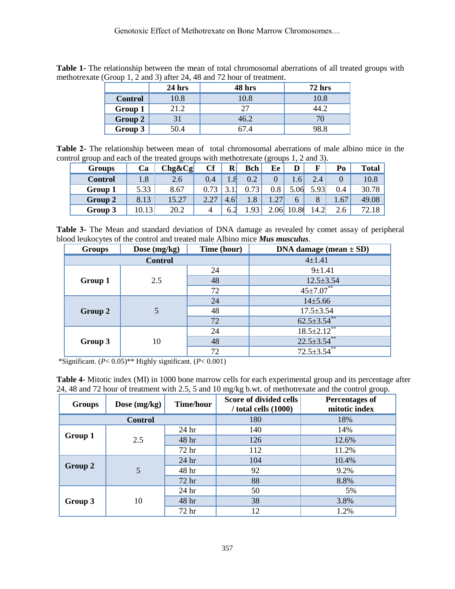|                | $24$ hrs | 48 hrs | $72$ hrs |
|----------------|----------|--------|----------|
| <b>Control</b> | 10.8     | 10.8   | 10.8     |
| Group 1        | 21.2     |        |          |
| Group 2        |          | 46.2   |          |
| Group 3        | 50.4     | 57.4   | 98.8     |

**Table 1-** The relationship between the mean of total chromosomal aberrations of all treated groups with methotrexate (Group 1, 2 and 3) after 24, 48 and 72 hour of treatment.

**Table 2-** The relationship between mean of total chromosomal aberrations of male albino mice in the control group and each of the treated groups with methotrexate (groups 1, 2 and 3).

| <b>Groups</b> | Ca   | $Chg\&Cg$ | Cf   | R             | <b>Bch</b> | Ee            | D     | г        | Po               | <b>Total</b> |
|---------------|------|-----------|------|---------------|------------|---------------|-------|----------|------------------|--------------|
| Control       | 1.8  | 2.6       | 0.4  |               | 0.2        |               | 1.6   | 2.4      |                  | 10.8         |
| Group 1       | 5.33 | 8.67      | 73   |               | .73        | 0.8           | 5.06  | 5.93     | 0.4              | 30.78        |
| Group 2       | 8.13 | 15.27     | 2.27 | $4.6^{\circ}$ | 1.8        | $\mathcal{L}$ | 6     |          | 1.67             | 49.08        |
| Group 3       | 0.13 | 20.2      |      | 6.2           | .93        | 2.06          | 10.86 | $14.2_1$ | $\bigcap$<br>2.6 |              |

**Table 3-** The Mean and standard deviation of DNA damage as revealed by comet assay of peripheral blood leukocytes of the control and treated male Albino mice *Mus musculus*.

| <b>Groups</b>  | Dose $(mg/kg)$ | Time (hour) | DNA damage (mean $\pm$ SD) |  |  |
|----------------|----------------|-------------|----------------------------|--|--|
| <b>Control</b> |                |             | $4 + 1.41$                 |  |  |
| Group 1        | 2.5            | 24          | 9±1.41                     |  |  |
|                |                | 48          | $12.5 \pm 3.54$            |  |  |
|                |                | 72          | $45 \pm 7.07$ **           |  |  |
| Group 2        | 5              | 24          | $14 \pm 5.66$              |  |  |
|                |                | 48          | $17.5 \pm 3.54$            |  |  |
|                |                | 72          | $62.5 \pm 3.54$ **         |  |  |
| Group 3        | 10             | 24          | $18.5 \pm 2.12$ **         |  |  |
|                |                | 48          | $22.5 \pm 3.54$ **         |  |  |
|                |                | 72          | $72.5 \pm 3.54$ **         |  |  |

\*Significant. (*P*< 0.05)\*\* Highly significant. (*P*< 0.001)

| <b>Table 4-</b> Mitotic index (MI) in 1000 bone marrow cells for each experimental group and its percentage after |  |
|-------------------------------------------------------------------------------------------------------------------|--|
| 24, 48 and 72 hour of treatment with 2.5, 5 and 10 mg/kg b.wt. of methotrexate and the control group.             |  |

| <b>Groups</b> | Dose $(mg/kg)$ | <b>Time/hour</b> | Score of divided cells<br>$/$ total cells $(1000)$ | <b>Percentages of</b><br>mitotic index |
|---------------|----------------|------------------|----------------------------------------------------|----------------------------------------|
|               | <b>Control</b> |                  | 180                                                | 18%                                    |
| Group 1       | 2.5            | 24 <sub>hr</sub> | 140                                                | 14%                                    |
|               |                | 48 hr            | 126                                                | 12.6%                                  |
|               |                | 72 hr            | 112                                                | 11.2%                                  |
| Group 2       | 5              | 24 hr            | 104                                                | 10.4%                                  |
|               |                | 48 hr            | 92                                                 | 9.2%                                   |
|               |                | 72 hr            | 88                                                 | 8.8%                                   |
| Group 3       | 10             | 24 <sub>hr</sub> | 50                                                 | 5%                                     |
|               |                | 48 hr            | 38                                                 | 3.8%                                   |
|               |                | 72 hr            | 12                                                 | 1.2%                                   |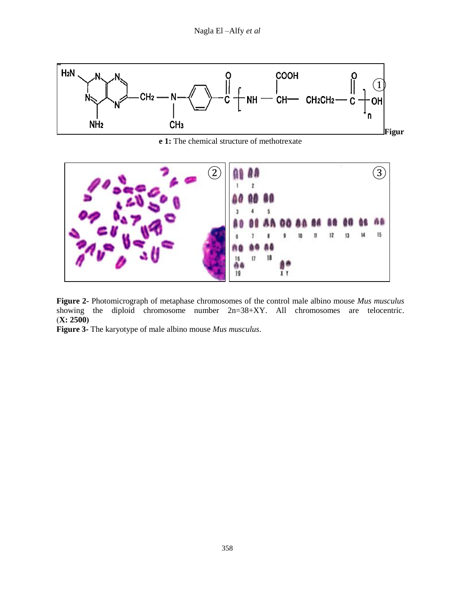

**e 1:** The chemical structure of methotrexate



**Figure 2-** Photomicrograph of metaphase chromosomes of the control male albino mouse *Mus musculus* showing the diploid chromosome number 2n=38+XY. All chromosomes are telocentric.  $(X: 2500)$ 

**Figure 3-** The karyotype of male albino mouse *Mus musculus*.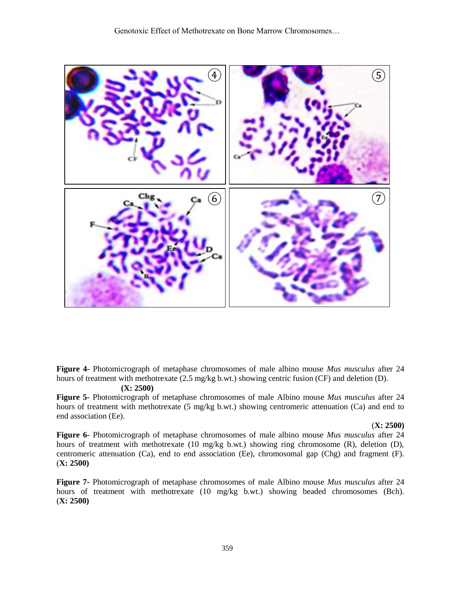Genotoxic Effect of Methotrexate on Bone Marrow Chromosomes…



**Figure 4-** Photomicrograph of metaphase chromosomes of male albino mouse *Mus musculus* after 24 hours of treatment with methotrexate (2.5 mg/kg b.wt.) showing centric fusion (CF) and deletion (D).

## **(X: 2500)**

**Figure 5-** Photomicrograph of metaphase chromosomes of male Albino mouse *Mus musculus* after 24 hours of treatment with methotrexate (5 mg/kg b.wt.) showing centromeric attenuation (Ca) and end to end association (Ee).

#### (**X: 2500)**

**Figure 6-** Photomicrograph of metaphase chromosomes of male albino mouse *Mus musculus* after 24 hours of treatment with methotrexate (10 mg/kg b.wt.) showing ring chromosome (R), deletion (D), centromeric attenuation (Ca), end to end association (Ee), chromosomal gap (Chg) and fragment (F). (**X: 2500)**

**Figure 7-** Photomicrograph of metaphase chromosomes of male Albino mouse *Mus musculus* after 24 hours of treatment with methotrexate (10 mg/kg b.wt.) showing beaded chromosomes (Bch). (**X: 2500)**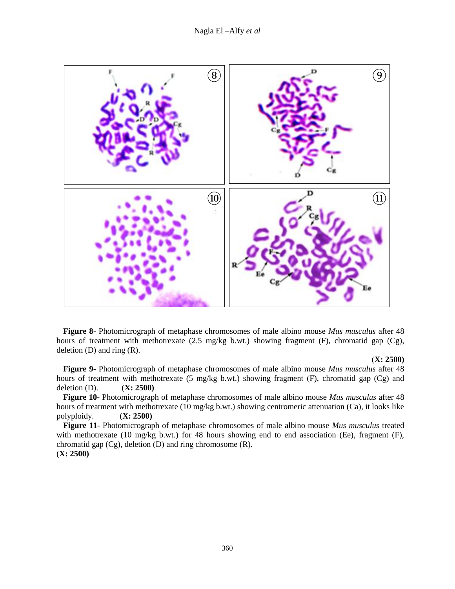Nagla El –Alfy *et al*



**Figure 8-** Photomicrograph of metaphase chromosomes of male albino mouse *Mus musculus* after 48 hours of treatment with methotrexate (2.5 mg/kg b.wt.) showing fragment (F), chromatid gap (Cg), deletion  $(D)$  and ring  $(R)$ .

#### (**X: 2500)**

**Figure 9-** Photomicrograph of metaphase chromosomes of male albino mouse *Mus musculus* after 48 hours of treatment with methotrexate (5 mg/kg b.wt.) showing fragment (F), chromatid gap (Cg) and deletion (D). (**X: 2500)**

**Figure 10-** Photomicrograph of metaphase chromosomes of male albino mouse *Mus musculus* after 48 hours of treatment with methotrexate (10 mg/kg b.wt.) showing centromeric attenuation (Ca), it looks like polyploidy. (**X: 2500)**

**Figure 11-** Photomicrograph of metaphase chromosomes of male albino mouse *Mus musculus* treated with methotrexate (10 mg/kg b.wt.) for 48 hours showing end to end association (Ee), fragment (F), chromatid gap (Cg), deletion (D) and ring chromosome (R). (**X: 2500)**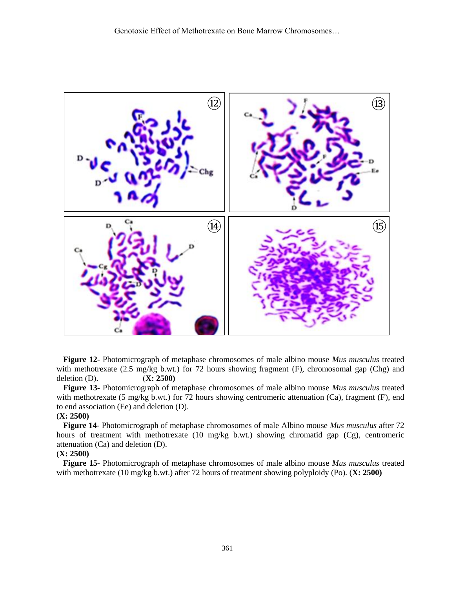

**Figure 12-** Photomicrograph of metaphase chromosomes of male albino mouse *Mus musculus* treated with methotrexate (2.5 mg/kg b.wt.) for 72 hours showing fragment (F), chromosomal gap (Chg) and deletion (D). (**X: 2500)**

**Figure 13-** Photomicrograph of metaphase chromosomes of male albino mouse *Mus musculus* treated with methotrexate (5 mg/kg b.wt.) for 72 hours showing centromeric attenuation (Ca), fragment (F), end to end association (Ee) and deletion (D).

#### (**X: 2500)**

**Figure 14-** Photomicrograph of metaphase chromosomes of male Albino mouse *Mus musculus* after 72 hours of treatment with methotrexate (10 mg/kg b.wt.) showing chromatid gap (Cg), centromeric attenuation (Ca) and deletion (D).

### (**X: 2500)**

**Figure 15-** Photomicrograph of metaphase chromosomes of male albino mouse *Mus musculus* treated with methotrexate (10 mg/kg b.wt.) after 72 hours of treatment showing polyploidy (Po). (**X: 2500)**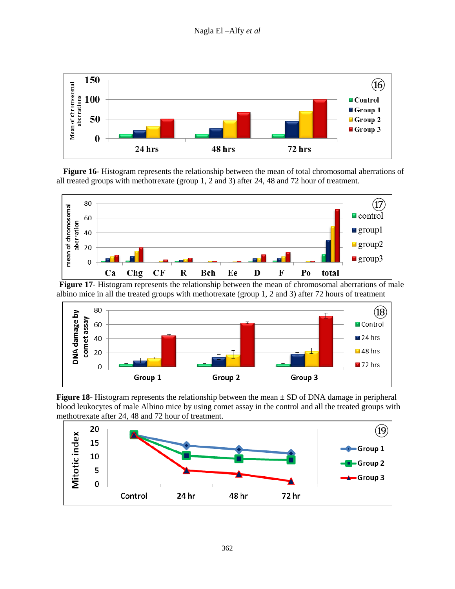

**Figure 16**- Histogram represents the relationship between the mean of total chromosomal aberrations of all treated groups with methotrexate (group 1, 2 and 3) after 24, 48 and 72 hour of treatment.



 **Figure 17**- Histogram represents the relationship between the mean of chromosomal aberrations of male albino mice in all the treated groups with methotrexate (group 1, 2 and 3) after 72 hours of treatment



**Figure 18**- Histogram represents the relationship between the mean  $\pm$  SD of DNA damage in peripheral blood leukocytes of male Albino mice by using comet assay in the control and all the treated groups with methotrexate after 24, 48 and 72 hour of treatment.